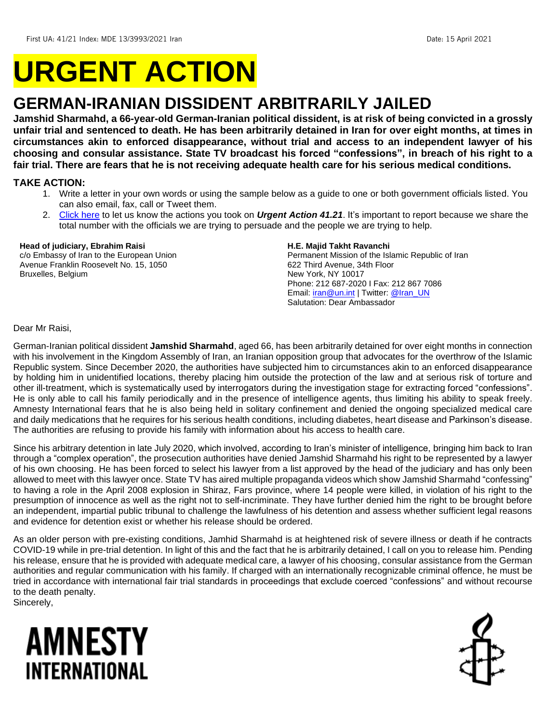# **URGENT ACTION**

## **GERMAN-IRANIAN DISSIDENT ARBITRARILY JAILED**

**Jamshid Sharmahd, a 66-year-old German-Iranian political dissident, is at risk of being convicted in a grossly unfair trial and sentenced to death. He has been arbitrarily detained in Iran for over eight months, at times in circumstances akin to enforced disappearance, without trial and access to an independent lawyer of his choosing and consular assistance. State TV broadcast his forced "confessions", in breach of his right to a fair trial. There are fears that he is not receiving adequate health care for his serious medical conditions.** 

#### **TAKE ACTION:**

- 1. Write a letter in your own words or using the sample below as a guide to one or both government officials listed. You can also email, fax, call or Tweet them.
- 2. [Click here](https://www.amnestyusa.org/report-urgent-actions/) to let us know the actions you took on *Urgent Action 41.21*. It's important to report because we share the total number with the officials we are trying to persuade and the people we are trying to help.

#### **Head of judiciary, Ebrahim Raisi**

c/o Embassy of Iran to the European Union Avenue Franklin Roosevelt No. 15, 1050 Bruxelles, Belgium

#### **H.E. Majid Takht Ravanchi**

Permanent Mission of the Islamic Republic of Iran 622 Third Avenue, 34th Floor New York, NY 10017 Phone: 212 687-2020 I Fax: 212 867 7086 Email[: iran@un.int](mailto:iran@un.int) | Twitter: [@Iran\\_UN](https://twitter.com/iran_un) Salutation: Dear Ambassador

Dear Mr Raisi,

German-Iranian political dissident **Jamshid Sharmahd**, aged 66, has been arbitrarily detained for over eight months in connection with his involvement in the Kingdom Assembly of Iran, an Iranian opposition group that advocates for the overthrow of the Islamic Republic system. Since December 2020, the authorities have subjected him to circumstances akin to an enforced disappearance by holding him in unidentified locations, thereby placing him outside the protection of the law and at serious risk of torture and other ill-treatment, which is systematically used by interrogators during the investigation stage for extracting forced "confessions". He is only able to call his family periodically and in the presence of intelligence agents, thus limiting his ability to speak freely. Amnesty International fears that he is also being held in solitary confinement and denied the ongoing specialized medical care and daily medications that he requires for his serious health conditions, including diabetes, heart disease and Parkinson's disease. The authorities are refusing to provide his family with information about his access to health care.

Since his arbitrary detention in late July 2020, which involved, according to Iran's minister of intelligence, bringing him back to Iran through a "complex operation", the prosecution authorities have denied Jamshid Sharmahd his right to be represented by a lawyer of his own choosing. He has been forced to select his lawyer from a list approved by the head of the judiciary and has only been allowed to meet with this lawyer once. State TV has aired multiple propaganda videos which show Jamshid Sharmahd "confessing" to having a role in the April 2008 explosion in Shiraz, Fars province, where 14 people were killed, in violation of his right to the presumption of innocence as well as the right not to self-incriminate. They have further denied him the right to be brought before an independent, impartial public tribunal to challenge the lawfulness of his detention and assess whether sufficient legal reasons and evidence for detention exist or whether his release should be ordered.

As an older person with pre-existing conditions, Jamhid Sharmahd is at heightened risk of severe illness or death if he contracts COVID-19 while in pre-trial detention. In light of this and the fact that he is arbitrarily detained, I call on you to release him. Pending his release, ensure that he is provided with adequate medical care, a lawyer of his choosing, consular assistance from the German authorities and regular communication with his family. If charged with an internationally recognizable criminal offence, he must be tried in accordance with international fair trial standards in proceedings that exclude coerced "confessions" and without recourse to the death penalty.

Sincerely,